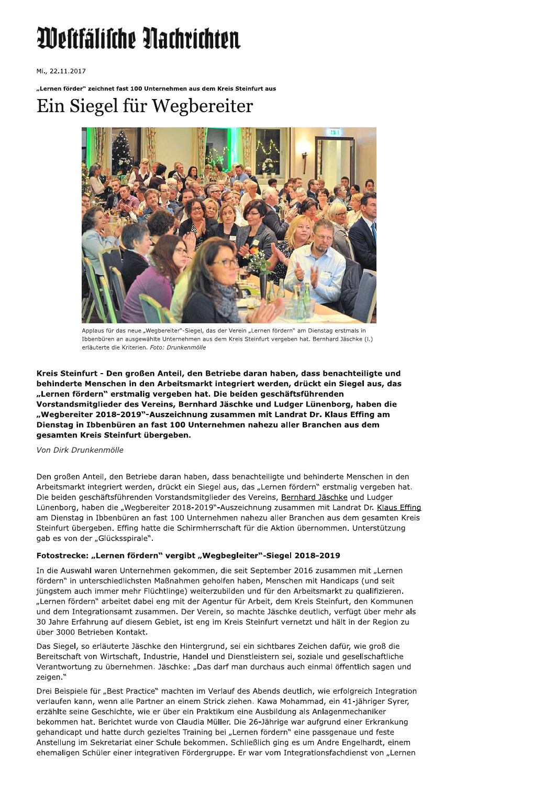# Westfälische Nachrichten

Mi., 22.11.2017

"Lernen förder" zeichnet fast 100 Unternehmen aus dem Kreis Steinfurt aus

## Ein Siegel für Wegbereiter



Applaus für das neue "Wegbereiter"-Siegel, das der Verein "Lernen fördern" am Dienstag erstmals in Ibbenbüren an ausgewählte Unternehmen aus dem Kreis Steinfurt vergeben hat. Bernhard Jäschke (I.) erläuterte die Kriterien. Foto: Drunkenmölle

Kreis Steinfurt - Den großen Anteil, den Betriebe daran haben, dass benachteiligte und behinderte Menschen in den Arbeitsmarkt integriert werden, drückt ein Siegel aus, das "Lernen fördern" erstmalig vergeben hat. Die beiden geschäftsführenden Vorstandsmitglieder des Vereins, Bernhard Jäschke und Ludger Lünenborg, haben die "Wegbereiter 2018-2019"-Auszeichnung zusammen mit Landrat Dr. Klaus Effing am Dienstag in Ibbenbüren an fast 100 Unternehmen nahezu aller Branchen aus dem gesamten Kreis Steinfurt übergeben.

#### Von Dirk Drunkenmölle

Den großen Anteil, den Betriebe daran haben, dass benachteiligte und behinderte Menschen in den Arbeitsmarkt integriert werden, drückt ein Siegel aus, das "Lernen fördern" erstmalig vergeben hat. Die beiden geschäftsführenden Vorstandsmitglieder des Vereins, Bernhard Jäschke und Ludger Lünenborg, haben die "Wegbereiter 2018-2019"-Auszeichnung zusammen mit Landrat Dr. Klaus Effing am Dienstag in Ibbenbüren an fast 100 Unternehmen nahezu aller Branchen aus dem gesamten Kreis Steinfurt übergeben. Effing hatte die Schirmherrschaft für die Aktion übernommen. Unterstützung gab es von der "Glücksspirale".

#### Fotostrecke: "Lernen fördern" vergibt "Wegbegleiter"-Siegel 2018-2019

In die Auswahl waren Unternehmen gekommen, die seit September 2016 zusammen mit "Lernen fördern" in unterschiedlichsten Maßnahmen geholfen haben, Menschen mit Handicaps (und seit jüngstem auch immer mehr Flüchtlinge) weiterzubilden und für den Arbeitsmarkt zu qualifizieren. "Lernen fördern" arbeitet dabei eng mit der Agentur für Arbeit, dem Kreis Steinfurt, den Kommunen und dem Integrationsamt zusammen. Der Verein, so machte Jäschke deutlich, verfügt über mehr als 30 Jahre Erfahrung auf diesem Gebiet, ist eng im Kreis Steinfurt vernetzt und hält in der Region zu über 3000 Betrieben Kontakt.

Das Siegel, so erläuterte Jäschke den Hintergrund, sei ein sichtbares Zeichen dafür, wie groß die Bereitschaft von Wirtschaft, Industrie, Handel und Dienstleistern sei, soziale und gesellschaftliche Verantwortung zu übernehmen. Jäschke: "Das darf man durchaus auch einmal öffentlich sagen und zeigen."

Drei Beispiele für "Best Practice" machten im Verlauf des Abends deutlich, wie erfolgreich Integration verlaufen kann, wenn alle Partner an einem Strick ziehen. Kawa Mohammad, ein 41-jähriger Syrer, erzählte seine Geschichte, wie er über ein Praktikum eine Ausbildung als Anlagenmechaniker bekommen hat. Berichtet wurde von Claudia Müller. Die 26-Jährige war aufgrund einer Erkrankung gehandicapt und hatte durch gezieltes Training bei "Lernen fördern" eine passgenaue und feste Anstellung im Sekretariat einer Schule bekommen. Schließlich ging es um Andre Engelhardt, einem ehemaligen Schüler einer integrativen Fördergruppe. Er war vom Integrationsfachdienst von "Lernen